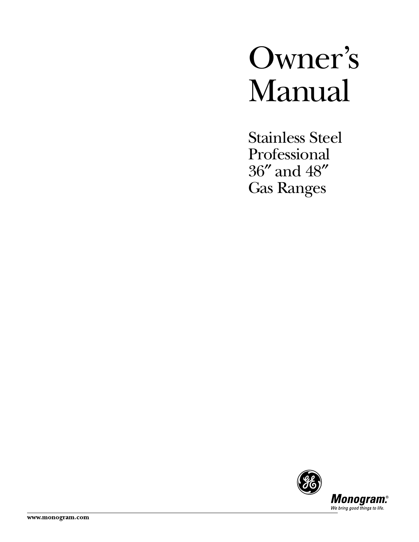# Owner's Manual

Stainless Steel Professional 36″ and 48″ Gas Ranges

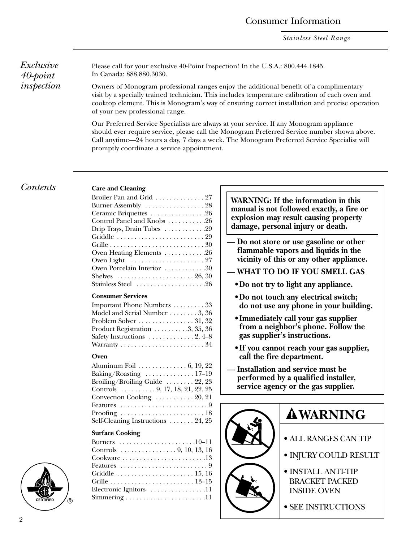*Stainless Steel Range*

*Exclusive 40-point inspection*

Please call for your exclusive 40-Point Inspection! In the U.S.A.: 800.444.1845. In Canada: 888.880.3030.

Owners of Monogram professional ranges enjoy the additional benefit of a complimentary visit by a specially trained technician. This includes temperature calibration of each oven and cooktop element. This is Monogram's way of ensuring correct installation and precise operation of your new professional range.

Our Preferred Service Specialists are always at your service. If any Monogram appliance should ever require service, please call the Monogram Preferred Service number shown above. Call anytime—24 hours a day, 7 days a week. The Monogram Preferred Service Specialist will promptly coordinate a service appointment.

### *Contents* **Care and Cleaning**

| Broiler Pan and Grid  27                                   |  |
|------------------------------------------------------------|--|
| Burner Assembly  28                                        |  |
| Ceramic Briquettes 26                                      |  |
| Control Panel and Knobs 26                                 |  |
| Drip Trays, Drain Tubes 29                                 |  |
|                                                            |  |
|                                                            |  |
| Oven Heating Elements 26                                   |  |
| Oven Light $\dots\dots\dots\dots\dots\dots 27$             |  |
| Oven Porcelain Interior 30                                 |  |
| Shelves $\ldots \ldots \ldots \ldots \ldots \ldots 26, 30$ |  |
| Stainless Steel 26                                         |  |
|                                                            |  |

### **Consumer Services**

| Important Phone Numbers 33                                    |
|---------------------------------------------------------------|
| Model and Serial Number  3, 36                                |
| Problem Solver $\dots \dots \dots \dots \dots 31, 32$         |
| Product Registration $\ldots \ldots \ldots 3, 35, 36$         |
| Safety Instructions $\dots \dots \dots 2, 4-8$                |
| Warranty $\dots \dots \dots \dots \dots \dots \dots \dots 34$ |

### **Oven**

| Aluminum Foil 6, 19, 22                               |  |
|-------------------------------------------------------|--|
| Baking/Roasting $\ldots \ldots \ldots \ldots 17-19$   |  |
| Broiling/Broiling Guide $\ldots \ldots 22, 23$        |  |
| Controls $\ldots \ldots \ldots 9, 17, 18, 21, 22, 25$ |  |
| Convection Cooking  20, 21                            |  |
|                                                       |  |
|                                                       |  |
| Self-Cleaning Instructions  24, 25                    |  |

### **Surface Cooking**

| Burners 10–11                                                      |  |
|--------------------------------------------------------------------|--|
| Controls $\ldots \ldots \ldots \ldots \ldots \ldots 9, 10, 13, 16$ |  |
|                                                                    |  |
|                                                                    |  |
| Griddle $\ldots \ldots \ldots \ldots \ldots \ldots \ldots 15, 16$  |  |
|                                                                    |  |
| Electronic Ignitors 11                                             |  |
|                                                                    |  |

**WARNING: If the information in this manual is not followed exactly, a fire or explosion may result causing property damage, personal injury or death.**

- **Do not store or use gasoline or other flammable vapors and liquids in the vicinity of this or any other appliance.**
- **WHAT TO DO IF YOU SMELL GAS**
	- **Do not try to light any appliance.**
	- **Do not touch any electrical switch; do not use any phone in your building.**
	- **Immediately call your gas supplier from a neighbor's phone. Follow the gas supplier's instructions.**
	- **If you cannot reach your gas supplier, call the fire department.**
- **Installation and service must be performed by a qualified installer, service agency or the gas supplier.**



## **WARNING**

- ALL RANGES CAN TIP
- INJURY COULD RESULT
- INSTALL ANTI-TIP BRACKET PACKED INSIDE OVEN
- SEE INSTRUCTIONS

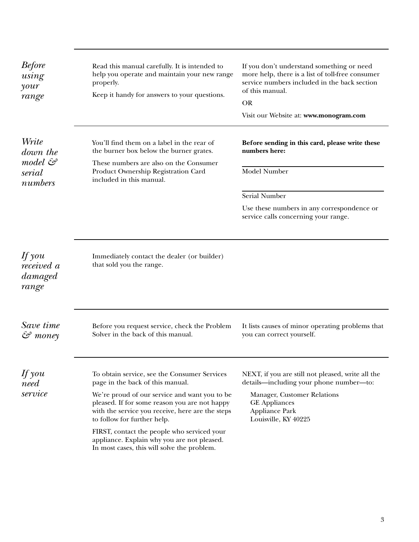<span id="page-2-0"></span>

| <b>Before</b><br>using<br>$\gamma$ our<br>range   | Read this manual carefully. It is intended to<br>help you operate and maintain your new range<br>properly.<br>Keep it handy for answers to your questions.                                                                                                                                                                                                                                                         | If you don't understand something or need<br>more help, there is a list of toll-free consumer<br>service numbers included in the back section<br>of this manual.<br><b>OR</b><br>Visit our Website at: www.monogram.com |
|---------------------------------------------------|--------------------------------------------------------------------------------------------------------------------------------------------------------------------------------------------------------------------------------------------------------------------------------------------------------------------------------------------------------------------------------------------------------------------|-------------------------------------------------------------------------------------------------------------------------------------------------------------------------------------------------------------------------|
| Write<br>down the<br>model &<br>serial<br>numbers | You'll find them on a label in the rear of<br>the burner box below the burner grates.<br>These numbers are also on the Consumer<br>Product Ownership Registration Card<br>included in this manual.                                                                                                                                                                                                                 | Before sending in this card, please write these<br>numbers here:<br>Model Number<br>Serial Number<br>Use these numbers in any correspondence or                                                                         |
| If you<br>received a<br>damaged<br>range          | Immediately contact the dealer (or builder)<br>that sold you the range.                                                                                                                                                                                                                                                                                                                                            | service calls concerning your range.                                                                                                                                                                                    |
| Save time<br>$\mathcal{S}$ money                  | Before you request service, check the Problem<br>Solver in the back of this manual.                                                                                                                                                                                                                                                                                                                                | It lists causes of minor operating problems that<br>you can correct yourself.                                                                                                                                           |
| $\n  If you\n$<br>need<br>service                 | To obtain service, see the Consumer Services<br>page in the back of this manual.<br>We're proud of our service and want you to be<br>pleased. If for some reason you are not happy<br>with the service you receive, here are the steps<br>to follow for further help.<br>FIRST, contact the people who serviced your<br>appliance. Explain why you are not pleased.<br>In most cases, this will solve the problem. | NEXT, if you are still not pleased, write all the<br>details—including your phone number—to:<br>Manager, Customer Relations<br><b>GE</b> Appliances<br><b>Appliance Park</b><br>Louisville, KY 40225                    |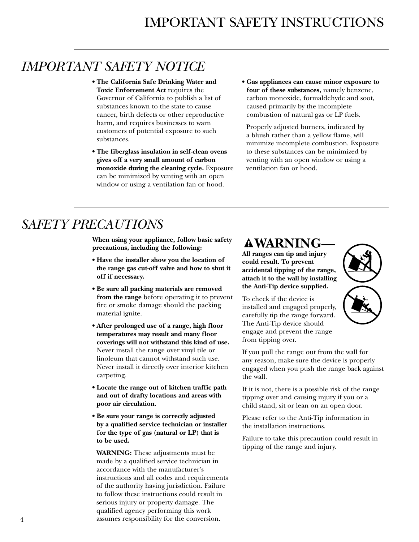## <span id="page-3-0"></span>*IMPORTANT SAFETY NOTICE*

- **The California Safe Drinking Water and Toxic Enforcement Act** requires the Governor of California to publish a list of substances known to the state to cause cancer, birth defects or other reproductive harm, and requires businesses to warn customers of potential exposure to such substances.
- **The fiberglass insulation in self-clean ovens gives off a very small amount of carbon monoxide during the cleaning cycle.** Exposure can be minimized by venting with an open window or using a ventilation fan or hood.
- **Gas appliances can cause minor exposure to four of these substances,** namely benzene, carbon monoxide, formaldehyde and soot, caused primarily by the incomplete combustion of natural gas or LP fuels.

Properly adjusted burners, indicated by a bluish rather than a yellow flame, will minimize incomplete combustion. Exposure to these substances can be minimized by venting with an open window or using a ventilation fan or hood.

## *SAFETY PRECAUTIONS*

**When using your appliance, follow basic safety precautions, including the following:**

- **Have the installer show you the location of the range gas cut-off valve and how to shut it off if necessary.**
- **Be sure all packing materials are removed from the range** before operating it to prevent fire or smoke damage should the packing material ignite.
- **After prolonged use of a range, high floor temperatures may result and many floor coverings will not withstand this kind of use.** Never install the range over vinyl tile or linoleum that cannot withstand such use. Never install it directly over interior kitchen carpeting.
- **Locate the range out of kitchen traffic path and out of drafty locations and areas with poor air circulation.**
- **Be sure your range is correctly adjusted by a qualified service technician or installer for the type of gas (natural or LP) that is to be used.**

**WARNING:** These adjustments must be made by a qualified service technician in accordance with the manufacturer's instructions and all codes and requirements of the authority having jurisdiction. Failure to follow these instructions could result in serious injury or property damage. The qualified agency performing this work assumes responsibility for the conversion.

## **AWARNING**

**All ranges can tip and injury could result. To prevent accidental tipping of the range, attach it to the wall by installing the Anti-Tip device supplied.** 

To check if the device is installed and engaged properly, carefully tip the range forward. The Anti-Tip device should engage and prevent the range from tipping over.



If you pull the range out from the wall for any reason, make sure the device is properly engaged when you push the range back against the wall.

If it is not, there is a possible risk of the range tipping over and causing injury if you or a child stand, sit or lean on an open door.

Please refer to the Anti-Tip information in the installation instructions.

Failure to take this precaution could result in tipping of the range and injury.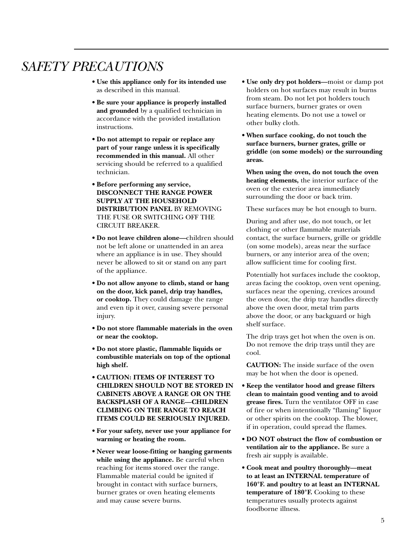## *SAFETY PRECAUTIONS*

- **Use this appliance only for its intended use** as described in this manual.
- **Be sure your appliance is properly installed and grounded** by a qualified technician in accordance with the provided installation instructions.
- **Do not attempt to repair or replace any part of your range unless it is specifically recommended in this manual.** All other servicing should be referred to a qualified technician.
- **Before performing any service, DISCONNECT THE RANGE POWER SUPPLY AT THE HOUSEHOLD DISTRIBUTION PANEL** BY REMOVING THE FUSE OR SWITCHING OFF THE CIRCUIT BREAKER.
- **Do not leave children alone—**children should not be left alone or unattended in an area where an appliance is in use. They should never be allowed to sit or stand on any part of the appliance.
- **Do not allow anyone to climb, stand or hang on the door, kick panel, drip tray handles, or cooktop.** They could damage the range and even tip it over, causing severe personal injury.
- **Do not store flammable materials in the oven or near the cooktop.**
- **Do not store plastic, flammable liquids or combustible materials on top of the optional high shelf.**
- **CAUTION: ITEMS OF INTEREST TO CHILDREN SHOULD NOT BE STORED IN CABINETS ABOVE A RANGE OR ON THE BACKSPLASH OF A RANGE—CHILDREN CLIMBING ON THE RANGE TO REACH ITEMS COULD BE SERIOUSLY INJURED.**
- **For your safety, never use your appliance for warming or heating the room.**
- **Never wear loose-fitting or hanging garments while using the appliance.** Be careful when reaching for items stored over the range. Flammable material could be ignited if brought in contact with surface burners, burner grates or oven heating elements and may cause severe burns.
- **Use only dry pot holders—**moist or damp pot holders on hot surfaces may result in burns from steam. Do not let pot holders touch surface burners, burner grates or oven heating elements. Do not use a towel or other bulky cloth.
- **When surface cooking, do not touch the surface burners, burner grates, grille or griddle (on some models) or the surrounding areas.**

**When using the oven, do not touch the oven heating elements,** the interior surface of the oven or the exterior area immediately surrounding the door or back trim.

These surfaces may be hot enough to burn.

During and after use, do not touch, or let clothing or other flammable materials contact, the surface burners, grille or griddle (on some models), areas near the surface burners, or any interior area of the oven; allow sufficient time for cooling first.

Potentially hot surfaces include the cooktop, areas facing the cooktop, oven vent opening, surfaces near the opening, crevices around the oven door, the drip tray handles directly above the oven door, metal trim parts above the door, or any backguard or high shelf surface.

The drip trays get hot when the oven is on. Do not remove the drip trays until they are cool.

**CAUTION:** The inside surface of the oven may be hot when the door is opened.

- **Keep the ventilator hood and grease filters clean to maintain good venting and to avoid grease fires.** Turn the ventilator OFF in case of fire or when intentionally "flaming" liquor or other spirits on the cooktop. The blower, if in operation, could spread the flames.
- **DO NOT obstruct the flow of combustion or ventilation air to the appliance.** Be sure a fresh air supply is available.
- **Cook meat and poultry thoroughly—meat to at least an INTERNAL temperature of 160°F. and poultry to at least an INTERNAL temperature of 180°F.** Cooking to these temperatures usually protects against foodborne illness.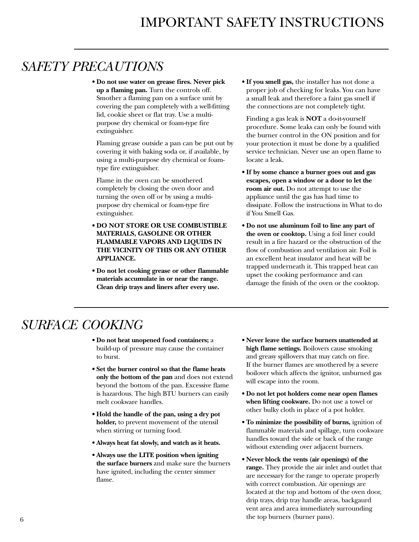## <span id="page-5-0"></span>*SAFETY PRECAUTIONS*

**• Do not use water on grease fires. Never pick up a flaming pan.** Turn the controls off. Smother a flaming pan on a surface unit by covering the pan completely with a well-fitting lid, cookie sheet or flat tray. Use a multipurpose dry chemical or foam-type fire extinguisher.

Flaming grease outside a pan can be put out by covering it with baking soda or, if available, by using a multi-purpose dry chemical or foamtype fire extinguisher.

Flame in the oven can be smothered completely by closing the oven door and turning the oven off or by using a multipurpose dry chemical or foam-type fire extinguisher.

- **DO NOT STORE OR USE COMBUSTIBLE MATERIALS, GASOLINE OR OTHER FLAMMABLE VAPORS AND LIQUIDS IN THE VICINITY OF THIS OR ANY OTHER APPLIANCE.**
- **Do not let cooking grease or other flammable materials accumulate in or near the range. Clean drip trays and liners after every use.**

**• If you smell gas,** the installer has not done a proper job of checking for leaks. You can have a small leak and therefore a faint gas smell if the connections are not completely tight.

Finding a gas leak is **NOT** a do-it-yourself procedure. Some leaks can only be found with the burner control in the ON position and for your protection it must be done by a qualified service technician. Never use an open flame to locate a leak.

- **If by some chance a burner goes out and gas escapes, open a window or a door to let the room air out.** Do not attempt to use the appliance until the gas has had time to dissipate. Follow the instructions in What to do if You Smell Gas.
- **Do not use aluminum foil to line any part of the oven or cooktop.** Using a foil liner could result in a fire hazard or the obstruction of the flow of combustion and ventilation air. Foil is an excellent heat insulator and heat will be trapped underneath it. This trapped heat can upset the cooking performance and can damage the finish of the oven or the cooktop.

## *SURFACE COOKING*

- **Do not heat unopened food containers;** a build-up of pressure may cause the container to burst.
- **Set the burner control so that the flame heats only the bottom of the pan** and does not extend beyond the bottom of the pan. Excessive flame is hazardous. The high BTU burners can easily melt cookware handles.
- **Hold the handle of the pan, using a dry pot holder,** to prevent movement of the utensil when stirring or turning food.
- **Always heat fat slowly, and watch as it heats.**
- **Always use the LITE position when igniting the surface burners** and make sure the burners have ignited, including the center simmer flame.
- **Never leave the surface burners unattended at high flame settings.** Boilovers cause smoking and greasy spillovers that may catch on fire. If the burner flames are smothered by a severe boilover which affects the ignitor, unburned gas will escape into the room.
- **Do not let pot holders come near open flames when lifting cookware.** Do not use a towel or other bulky cloth in place of a pot holder.
- **To minimize the possibility of burns,** ignition of flammable materials and spillage, turn cookware handles toward the side or back of the range without extending over adjacent burners.
- **Never block the vents (air openings) of the range.** They provide the air inlet and outlet that are necessary for the range to operate properly with correct combustion. Air openings are located at the top and bottom of the oven door, drip trays, drip tray handle areas, backgaurd vent area and area immediately surrounding the top burners (burner pans).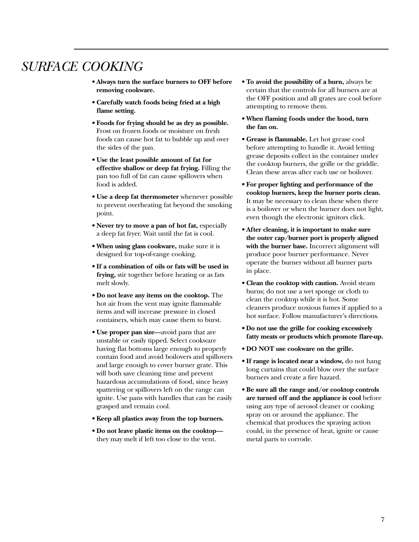## *SURFACE COOKING*

- **Always turn the surface burners to OFF before removing cookware.**
- **Carefully watch foods being fried at a high flame setting.**
- **Foods for frying should be as dry as possible.** Frost on frozen foods or moisture on fresh foods can cause hot fat to bubble up and over the sides of the pan.
- **Use the least possible amount of fat for effective shallow or deep fat frying.** Filling the pan too full of fat can cause spillovers when food is added.
- **Use a deep fat thermometer** whenever possible to prevent overheating fat beyond the smoking point.
- **Never try to move a pan of hot fat,** especially a deep fat fryer. Wait until the fat is cool.
- **When using glass cookware,** make sure it is designed for top-of-range cooking.
- **If a combination of oils or fats will be used in frying,** stir together before heating or as fats melt slowly.
- **Do not leave any items on the cooktop.** The hot air from the vent may ignite flammable items and will increase pressure in closed containers, which may cause them to burst.
- **Use proper pan size—**avoid pans that are unstable or easily tipped. Select cookware having flat bottoms large enough to properly contain food and avoid boilovers and spillovers and large enough to cover burner grate. This will both save cleaning time and prevent hazardous accumulations of food, since heavy spattering or spillovers left on the range can ignite. Use pans with handles that can be easily grasped and remain cool.
- **Keep all plastics away from the top burners.**
- **Do not leave plastic items on the cooktop** they may melt if left too close to the vent.
- **To avoid the possibility of a burn,** always be certain that the controls for all burners are at the OFF position and all grates are cool before attempting to remove them.
- **When flaming foods under the hood, turn the fan on.**
- **Grease is flammable.** Let hot grease cool before attempting to handle it. Avoid letting grease deposits collect in the container under the cooktop burners, the grille or the griddle. Clean these areas after each use or boilover.
- **For proper lighting and performance of the cooktop burners, keep the burner ports clean.** It may be necessary to clean these when there is a boilover or when the burner does not light, even though the electronic ignitors click.
- **After cleaning, it is important to make sure the outer cap/burner port is properly aligned with the burner base.** Incorrect alignment will produce poor burner performance. Never operate the burner without all burner parts in place.
- **Clean the cooktop with caution.** Avoid steam burns; do not use a wet sponge or cloth to clean the cooktop while it is hot. Some cleaners produce noxious fumes if applied to a hot surface. Follow manufacturer's directions.
- **Do not use the grille for cooking excessively fatty meats or products which promote flare-up.**
- **DO NOT use cookware on the grille.**
- **If range is located near a window,** do not hang long curtains that could blow over the surface burners and create a fire hazard.
- **Be sure all the range and/or cooktop controls are turned off and the appliance is cool** before using any type of aerosol cleaner or cooking spray on or around the appliance. The chemical that produces the spraying action could, in the presence of heat, ignite or cause metal parts to corrode.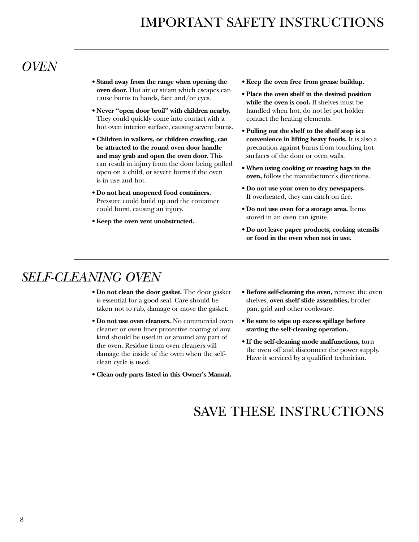## *OVEN*

- **Stand away from the range when opening the oven door.** Hot air or steam which escapes can cause burns to hands, face and/or eyes.
- **Never "open door broil" with children nearby.** They could quickly come into contact with a hot oven interior surface, causing severe burns.
- **Children in walkers, or children crawling, can be attracted to the round oven door handle and may grab and open the oven door.** This can result in injury from the door being pulled open on a child, or severe burns if the oven is in use and hot.
- **Do not heat unopened food containers.** Pressure could build up and the container could burst, causing an injury.
- **Keep the oven vent unobstructed.**
- **Keep the oven free from grease buildup.**
- **Place the oven shelf in the desired position while the oven is cool.** If shelves must be handled when hot, do not let pot holder contact the heating elements.
- **Pulling out the shelf to the shelf stop is a convenience in lifting heavy foods.** It is also a precaution against burns from touching hot surfaces of the door or oven walls.
- **When using cooking or roasting bags in the oven,** follow the manufacturer's directions.
- **Do not use your oven to dry newspapers.** If overheated, they can catch on fire.
- **Do not use oven for a storage area.** Items stored in an oven can ignite.
- **Do not leave paper products, cooking utensils or food in the oven when not in use.**

## *SELF-CLEANING OVEN*

- **Do not clean the door gasket.** The door gasket is essential for a good seal. Care should be taken not to rub, damage or move the gasket.
- **Do not use oven cleaners.** No commercial oven cleaner or oven liner protective coating of any kind should be used in or around any part of the oven. Residue from oven cleaners will damage the inside of the oven when the selfclean cycle is used.
- **Clean only parts listed in this Owner's Manual.**
- **Before self-cleaning the oven,** remove the oven shelves, **oven shelf slide assemblies,** broiler pan, grid and other cookware.
- **Be sure to wipe up excess spillage before starting the self-cleaning operation.**
- **If the self-cleaning mode malfunctions,** turn the oven off and disconnect the power supply. Have it serviced by a qualified technician.

## SAVE THESE INSTRUCTIONS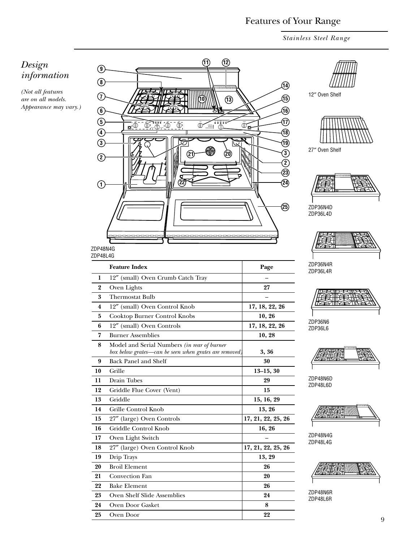## Features of Your Range

*Stainless Steel Range*

### <span id="page-8-0"></span>*Design information*

*(Not all features are on all models. Appearance may vary.)*

|                        | (11)<br>(12)                                                                                                                                                              |                     |                      |
|------------------------|---------------------------------------------------------------------------------------------------------------------------------------------------------------------------|---------------------|----------------------|
| 9                      |                                                                                                                                                                           |                     |                      |
| $\left( 8\right)$      |                                                                                                                                                                           | 14)                 |                      |
| (7                     | {ייייייייייייייייייי                                                                                                                                                      | ্বি                 | 12" Oven St          |
| $\bigcirc$             |                                                                                                                                                                           | 佃                   |                      |
| ⑤                      |                                                                                                                                                                           | D                   |                      |
| $\widehat{\mathbf{A}}$ | $\underbrace{\overbrace{\mathbb{D}}\underbrace{\cdots}_{\bullet\bullet\bullet\bullet}}$<br>$\overline{\Phi_{\ast}\Phi_{\ast}}\Phi$<br>$\Phi$<br>$\mathbf{D}^{\mathbf{0}}$ | $\Phi_{\mathbf{Q}}$ |                      |
|                        |                                                                                                                                                                           | ⑱                   |                      |
| $\boxed{3}$            |                                                                                                                                                                           | ®                   | 27" Oven St          |
| $\left( 2\right)$      | $\left( 20\right)$<br>21                                                                                                                                                  | ③                   |                      |
|                        |                                                                                                                                                                           | $^\copyright$<br>②  |                      |
|                        |                                                                                                                                                                           | 24)                 |                      |
| $\mathbf{1}$           |                                                                                                                                                                           |                     |                      |
|                        |                                                                                                                                                                           |                     |                      |
|                        |                                                                                                                                                                           | (25)                | ZDP36N4D             |
|                        |                                                                                                                                                                           |                     | ZDP36L4D             |
|                        |                                                                                                                                                                           |                     |                      |
|                        |                                                                                                                                                                           |                     |                      |
| ZDP48N4G               |                                                                                                                                                                           |                     |                      |
| ZDP48L4G               |                                                                                                                                                                           |                     |                      |
|                        | <b>Feature Index</b>                                                                                                                                                      | Page                | ZDP36N4R<br>ZDP36L4R |
| 1                      | 12" (small) Oven Crumb Catch Tray                                                                                                                                         |                     |                      |
| 2                      | Oven Lights                                                                                                                                                               | 27                  |                      |
| 3                      | <b>Thermostat Bulb</b>                                                                                                                                                    |                     |                      |
| 4                      | 12" (small) Oven Control Knob                                                                                                                                             | 17, 18, 22, 26      |                      |
| 5                      | Cooktop Burner Control Knobs                                                                                                                                              | 10, 26              | ZDP36N6              |
| 6                      | 12" (small) Oven Controls                                                                                                                                                 | 17, 18, 22, 26      | ZDP36L6              |
| 7                      | <b>Burner Assemblies</b>                                                                                                                                                  | 10, 28              |                      |
| 8                      | Model and Serial Numbers (in rear of burner<br>box below grates-can be seen when grates are removed,                                                                      | 3, 36               |                      |
| 9                      | <b>Back Panel and Shelf</b>                                                                                                                                               | 30                  |                      |
| 10                     | Grille                                                                                                                                                                    | $13-15, 30$         | I.                   |
| 11                     | Drain Tubes                                                                                                                                                               | 29                  | ZDP48N6D             |
| 12                     | Griddle Flue Cover (Vent)                                                                                                                                                 | 15                  | ZDP48L6D             |
| 13                     | Griddle                                                                                                                                                                   | 15, 16, 29          |                      |
| 14                     | Grille Control Knob                                                                                                                                                       | 13, 26              |                      |
| 15                     | 27" (large) Oven Controls                                                                                                                                                 | 17, 21, 22, 25, 26  |                      |
| 16                     | Griddle Control Knob                                                                                                                                                      | 16, 26              |                      |
| 17                     | Oven Light Switch                                                                                                                                                         |                     | ZDP48N4G             |
| 18                     | 27" (large) Oven Control Knob                                                                                                                                             | 17, 21, 22, 25, 26  | ZDP48L4G             |
| 19                     | Drip Trays                                                                                                                                                                | 13, 29              |                      |
| $20\,$                 | <b>Broil Element</b>                                                                                                                                                      | 26                  |                      |
| 21                     | Convection Fan                                                                                                                                                            | 20                  |                      |
| 22                     | <b>Bake Element</b>                                                                                                                                                       | 26                  |                      |
| 23                     | Oven Shelf Slide Assemblies                                                                                                                                               | 24                  | ZDP48N6R<br>ZDP48L6R |
| 24                     | Oven Door Gasket                                                                                                                                                          | 8                   |                      |
| 25                     | Oven Door                                                                                                                                                                 | 22                  |                      |

helf



helf











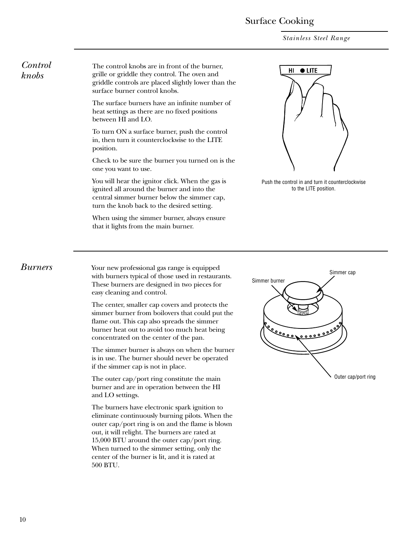### Surface Cooking

*Stainless Steel Range*

### <span id="page-9-0"></span>*Control knobs*

The control knobs are in front of the burner, grille or griddle they control. The oven and griddle controls are placed slightly lower than the surface burner control knobs.

The surface burners have an infinite number of heat settings as there are no fixed positions between HI and LO.

To turn ON a surface burner, push the control in, then turn it counterclockwise to the LITE position.

Check to be sure the burner you turned on is the one you want to use.

You will hear the ignitor click. When the gas is ignited all around the burner and into the central simmer burner below the simmer cap, turn the knob back to the desired setting.

When using the simmer burner, always ensure that it lights from the main burner.



Push the control in and turn it counterclockwise to the LITE position.

*Burners* Your new professional gas range is equipped with burners typical of those used in restaurants. These burners are designed in two pieces for easy cleaning and control.

> The center, smaller cap covers and protects the simmer burner from boilovers that could put the flame out. This cap also spreads the simmer burner heat out to avoid too much heat being concentrated on the center of the pan.

The simmer burner is always on when the burner is in use. The burner should never be operated if the simmer cap is not in place.

The outer cap/port ring constitute the main burner and are in operation between the HI and LO settings.

The burners have electronic spark ignition to eliminate continuously burning pilots. When the outer cap/port ring is on and the flame is blown out, it will relight. The burners are rated at 15,000 BTU around the outer cap/port ring. When turned to the simmer setting, only the center of the burner is lit, and it is rated at 500 BTU.

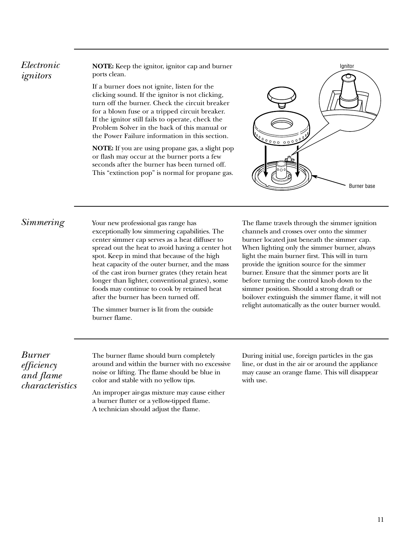### <span id="page-10-0"></span>*Electronic ignitors*

**NOTE:** Keep the ignitor, ignitor cap and burner ports clean.

If a burner does not ignite, listen for the clicking sound. If the ignitor is not clicking, turn off the burner. Check the circuit breaker for a blown fuse or a tripped circuit breaker. If the ignitor still fails to operate, check the Problem Solver in the back of this manual or the Power Failure information in this section.

**NOTE:** If you are using propane gas, a slight pop or flash may occur at the burner ports a few seconds after the burner has been turned off. This "extinction pop" is normal for propane gas.



### *Simmering* Your new professional gas range has

exceptionally low simmering capabilities. The center simmer cap serves as a heat diffuser to spread out the heat to avoid having a center hot spot. Keep in mind that because of the high heat capacity of the outer burner, and the mass of the cast iron burner grates (they retain heat longer than lighter, conventional grates), some foods may continue to cook by retained heat after the burner has been turned off.

The simmer burner is lit from the outside burner flame.

The flame travels through the simmer ignition channels and crosses over onto the simmer burner located just beneath the simmer cap. When lighting only the simmer burner, always light the main burner first. This will in turn provide the ignition source for the simmer burner. Ensure that the simmer ports are lit before turning the control knob down to the simmer position. Should a strong draft or boilover extinguish the simmer flame, it will not relight automatically as the outer burner would.

*Burner efficiency and flame characteristics*

The burner flame should burn completely around and within the burner with no excessive noise or lifting. The flame should be blue in color and stable with no yellow tips.

An improper air-gas mixture may cause either a burner flutter or a yellow-tipped flame. A technician should adjust the flame.

During initial use, foreign particles in the gas line, or dust in the air or around the appliance may cause an orange flame. This will disappear with use.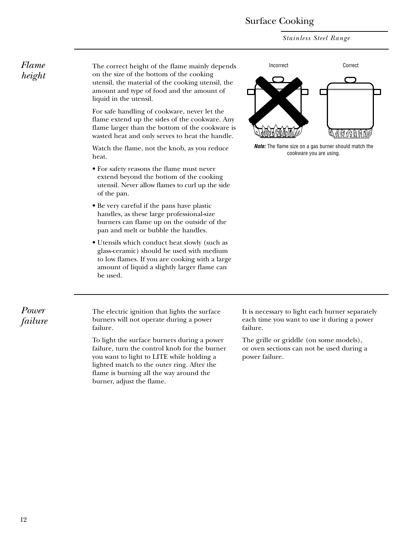### Surface Cooking

*Stainless Steel Range*

*Flame height*

The correct height of the flame mainly depends on the size of the bottom of the cooking utensil, the material of the cooking utensil, the amount and type of food and the amount of liquid in the utensil.

For safe handling of cookware, never let the flame extend up the sides of the cookware. Any flame larger than the bottom of the cookware is wasted heat and only serves to heat the handle.

Watch the flame, not the knob, as you reduce heat.

- For safety reasons the flame must never extend beyond the bottom of the cooking utensil. Never allow flames to curl up the side of the pan.
- Be very careful if the pans have plastic handles, as these large professional-size burners can flame up on the outside of the pan and melt or bubble the handles.
- Utensils which conduct heat slowly (such as glass-ceramic) should be used with medium to low flames. If you are cooking with a large amount of liquid a slightly larger flame can be used.



*Note:* The flame size on a gas burner should match the cookware you are using.

*Power failure*

The electric ignition that lights the surface burners will not operate during a power failure.

To light the surface burners during a power failure, turn the control knob for the burner you want to light to LITE while holding a lighted match to the outer ring. After the flame is burning all the way around the burner, adjust the flame.

It is necessary to light each burner separately each time you want to use it during a power failure.

The grille or griddle (on some models), or oven sections can not be used during a power failure.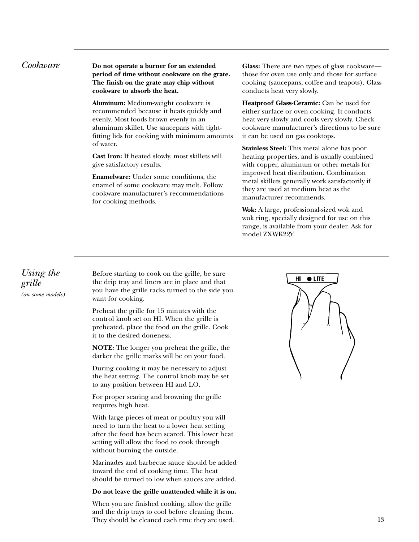<span id="page-12-0"></span>*Cookware* **Do not operate a burner for an extended period of time without cookware on the grate. The finish on the grate may chip without cookware to absorb the heat.**

> **Aluminum:** Medium-weight cookware is recommended because it heats quickly and evenly. Most foods brown evenly in an aluminum skillet. Use saucepans with tightfitting lids for cooking with minimum amounts of water.

**Cast Iron:** If heated slowly, most skillets will give satisfactory results.

**Enamelware:** Under some conditions, the enamel of some cookware may melt. Follow cookware manufacturer's recommendations for cooking methods.

**Glass:** There are two types of glass cookware those for oven use only and those for surface cooking (saucepans, coffee and teapots). Glass conducts heat very slowly.

**Heatproof Glass-Ceramic:** Can be used for either surface or oven cooking. It conducts heat very slowly and cools very slowly. Check cookware manufacturer's directions to be sure it can be used on gas cooktops.

**Stainless Steel:** This metal alone has poor heating properties, and is usually combined with copper, aluminum or other metals for improved heat distribution. Combination metal skillets generally work satisfactorily if they are used at medium heat as the manufacturer recommends.

**Wok:** A large, professional-sized wok and wok ring, specially designed for use on this range, is available from your dealer. Ask for model ZXWK22Y.

*Using the grille (on some models)*

Before starting to cook on the grille, be sure the drip tray and liners are in place and that you have the grille racks turned to the side you want for cooking.

Preheat the grille for 15 minutes with the control knob set on HI. When the grille is preheated, place the food on the grille. Cook it to the desired doneness.

**NOTE:** The longer you preheat the grille, the darker the grille marks will be on your food.

During cooking it may be necessary to adjust the heat setting. The control knob may be set to any position between HI and LO.

For proper searing and browning the grille requires high heat.

With large pieces of meat or poultry you will need to turn the heat to a lower heat setting after the food has been seared. This lower heat setting will allow the food to cook through without burning the outside.

Marinades and barbecue sauce should be added toward the end of cooking time. The heat should be turned to low when sauces are added.

### **Do not leave the grille unattended while it is on.**

When you are finished cooking, allow the grille and the drip trays to cool before cleaning them. They should be cleaned each time they are used.

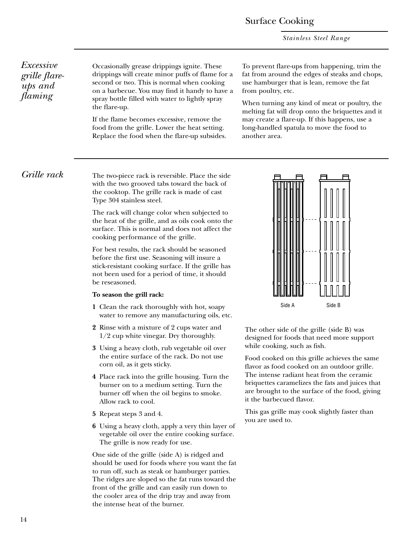*Stainless Steel Range*

### *Excessive grille flareups and flaming*

Occasionally grease drippings ignite. These drippings will create minor puffs of flame for a second or two. This is normal when cooking on a barbecue. You may find it handy to have a spray bottle filled with water to lightly spray the flare-up.

If the flame becomes excessive, remove the food from the grille. Lower the heat setting. Replace the food when the flare-up subsides. To prevent flare-ups from happening, trim the fat from around the edges of steaks and chops, use hamburger that is lean, remove the fat from poultry, etc.

When turning any kind of meat or poultry, the melting fat will drop onto the briquettes and it may create a flare-up. If this happens, use a long-handled spatula to move the food to another area.

*Grille rack* The two-piece rack is reversible. Place the side with the two grooved tabs toward the back of the cooktop. The grille rack is made of cast Type 304 stainless steel.

> The rack will change color when subjected to the heat of the grille, and as oils cook onto the surface. This is normal and does not affect the cooking performance of the grille.

For best results, the rack should be seasoned before the first use. Seasoning will insure a stick-resistant cooking surface. If the grille has not been used for a period of time, it should be reseasoned.

### **To season the grill rack:**

- **1** Clean the rack thoroughly with hot, soapy water to remove any manufacturing oils, etc.
- **2** Rinse with a mixture of 2 cups water and 1/2 cup white vinegar. Dry thoroughly.
- **3** Using a heavy cloth, rub vegetable oil over the entire surface of the rack. Do not use corn oil, as it gets sticky.
- **4** Place rack into the grille housing. Turn the burner on to a medium setting. Turn the burner off when the oil begins to smoke. Allow rack to cool.
- **5** Repeat steps 3 and 4.
- **6** Using a heavy cloth, apply a very thin layer of vegetable oil over the entire cooking surface. The grille is now ready for use.

One side of the grille (side A) is ridged and should be used for foods where you want the fat to run off, such as steak or hamburger patties. The ridges are sloped so the fat runs toward the front of the grille and can easily run down to the cooler area of the drip tray and away from the intense heat of the burner.



The other side of the grille (side B) was designed for foods that need more support while cooking, such as fish.

Food cooked on this grille achieves the same flavor as food cooked on an outdoor grille. The intense radiant heat from the ceramic briquettes caramelizes the fats and juices that are brought to the surface of the food, giving it the barbecued flavor.

This gas grille may cook slightly faster than you are used to.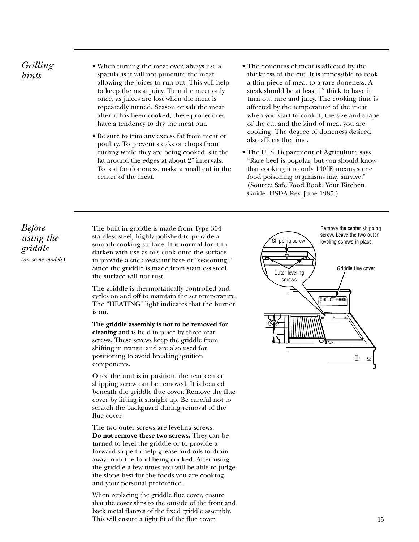### <span id="page-14-0"></span>*Grilling hints*

- When turning the meat over, always use a spatula as it will not puncture the meat allowing the juices to run out. This will help to keep the meat juicy. Turn the meat only once, as juices are lost when the meat is repeatedly turned. Season or salt the meat after it has been cooked; these procedures have a tendency to dry the meat out.
- Be sure to trim any excess fat from meat or poultry. To prevent steaks or chops from curling while they are being cooked, slit the fat around the edges at about 2″ intervals. To test for doneness, make a small cut in the center of the meat.
- The doneness of meat is affected by the thickness of the cut. It is impossible to cook a thin piece of meat to a rare doneness. A steak should be at least 1″ thick to have it turn out rare and juicy. The cooking time is affected by the temperature of the meat when you start to cook it, the size and shape of the cut and the kind of meat you are cooking. The degree of doneness desired also affects the time.
- The U. S. Department of Agriculture says, "Rare beef is popular, but you should know that cooking it to only 140°F. means some food poisoning organisms may survive." (Source: Safe Food Book. Your Kitchen Guide. USDA Rev. June 1985.)

*Before using the griddle (on some models)* The built-in griddle is made from Type 304 stainless steel, highly polished to provide a smooth cooking surface. It is normal for it to darken with use as oils cook onto the surface to provide a stick-resistant base or "seasoning." Since the griddle is made from stainless steel, the surface will not rust.

The griddle is thermostatically controlled and cycles on and off to maintain the set temperature. The "HEATING" light indicates that the burner is on.

**The griddle assembly is not to be removed for cleaning** and is held in place by three rear screws. These screws keep the griddle from shifting in transit, and are also used for positioning to avoid breaking ignition components.

Once the unit is in position, the rear center shipping screw can be removed. It is located beneath the griddle flue cover. Remove the flue cover by lifting it straight up. Be careful not to scratch the backguard during removal of the flue cover.

The two outer screws are leveling screws. **Do not remove these two screws.** They can be turned to level the griddle or to provide a forward slope to help grease and oils to drain away from the food being cooked. After using the griddle a few times you will be able to judge the slope best for the foods you are cooking and your personal preference.

When replacing the griddle flue cover, ensure that the cover slips to the outside of the front and back metal flanges of the fixed griddle assembly. This will ensure a tight fit of the flue cover.

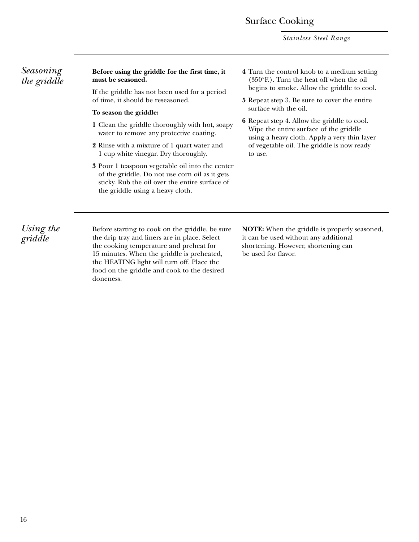### Surface Cooking

*Stainless Steel Range*

| Seasoning<br>the griddle | Before using the griddle for the first time, it<br>must be seasoned.                                                                                                                                                                    | 4 Turn the control knob to a medium setting<br>(350°F.). Turn the heat off when the oil                                                                                                               |  |  |
|--------------------------|-----------------------------------------------------------------------------------------------------------------------------------------------------------------------------------------------------------------------------------------|-------------------------------------------------------------------------------------------------------------------------------------------------------------------------------------------------------|--|--|
|                          | If the griddle has not been used for a period<br>of time, it should be reseasoned.                                                                                                                                                      | begins to smoke. Allow the griddle to cool.<br><b>5</b> Repeat step 3. Be sure to cover the entire                                                                                                    |  |  |
|                          | To season the griddle:                                                                                                                                                                                                                  | surface with the oil.                                                                                                                                                                                 |  |  |
|                          | 1 Clean the griddle thoroughly with hot, soapy<br>water to remove any protective coating.                                                                                                                                               | <b>6</b> Repeat step 4. Allow the griddle to cool.<br>Wipe the entire surface of the griddle<br>using a heavy cloth. Apply a very thin layer<br>of vegetable oil. The griddle is now ready<br>to use. |  |  |
|                          | 2 Rinse with a mixture of 1 quart water and<br>1 cup white vinegar. Dry thoroughly.                                                                                                                                                     |                                                                                                                                                                                                       |  |  |
|                          | 3 Pour 1 teaspoon vegetable oil into the center<br>of the griddle. Do not use corn oil as it gets<br>sticky. Rub the oil over the entire surface of<br>the griddle using a heavy cloth.                                                 |                                                                                                                                                                                                       |  |  |
| Using the<br>griddle     | Before starting to cook on the griddle, be sure<br>the drip tray and liners are in place. Select<br>the cooking temperature and preheat for<br>15 minutes. When the griddle is preheated,<br>the HEATING light will turn off. Place the | <b>NOTE:</b> When the griddle is properly seasoned,<br>it can be used without any additional<br>shortening. However, shortening can<br>be used for flavor.                                            |  |  |

food on the griddle and cook to the desired

doneness.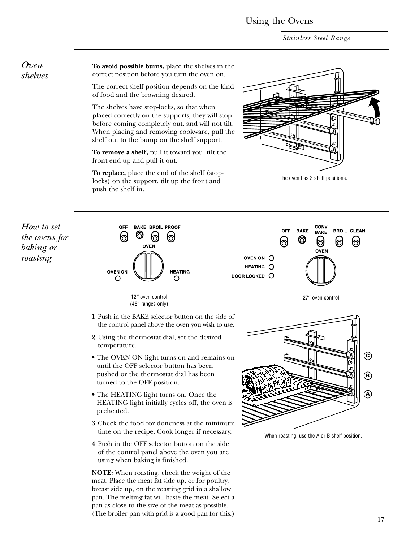*Stainless Steel Range*

**To avoid possible burns,** place the shelves in the correct position before you turn the oven on.

The correct shelf position depends on the kind of food and the browning desired.

The shelves have stop-locks, so that when placed correctly on the supports, they will stop before coming completely out, and will not tilt. When placing and removing cookware, pull the shelf out to the bump on the shelf support.

**To remove a shelf,** pull it toward you, tilt the front end up and pull it out.

**To replace,** place the end of the shelf (stoplocks) on the support, tilt up the front and push the shelf in.



The oven has 3 shelf positions.

*How to set the ovens for baking or roasting*

<span id="page-16-0"></span>*Oven shelves*





(48″ ranges only)

**1** Push in the BAKE selector button on the side of the control panel above the oven you wish to use.

- **2** Using the thermostat dial, set the desired temperature.
- The OVEN ON light turns on and remains on until the OFF selector button has been pushed or the thermostat dial has been turned to the OFF position.
- The HEATING light turns on. Once the HEATING light initially cycles off, the oven is preheated.
- **3** Check the food for doneness at the minimum time on the recipe. Cook longer if necessary.
- **4** Push in the OFF selector button on the side of the control panel above the oven you are using when baking is finished.

**NOTE:** When roasting, check the weight of the meat. Place the meat fat side up, or for poultry, breast side up, on the roasting grid in a shallow pan. The melting fat will baste the meat. Select a pan as close to the size of the meat as possible. (The broiler pan with grid is a good pan for this.)



27″ oven control

When roasting, use the A or B shelf position.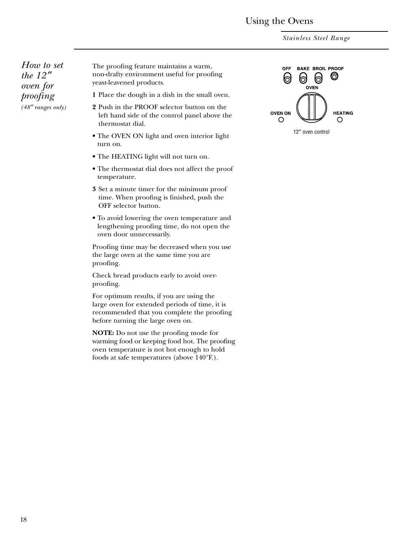*Stainless Steel Range*

<span id="page-17-0"></span>*How to set the 12* ″ *oven for proofing (48*″ *ranges only)*

The proofing feature maintains a warm, non-drafty environment useful for proofing yeast-leavened products.

**1** Place the dough in a dish in the small oven.

- **2** Push in the PROOF selector button on the left hand side of the control panel above the thermostat dial.
- The OVEN ON light and oven interior light turn on.
- The HEATING light will not turn on.
- The thermostat dial does not affect the proof temperature.
- **3** Set a minute timer for the minimum proof time. When proofing is finished, push the OFF selector button.
- To avoid lowering the oven temperature and lengthening proofing time, do not open the oven door unnecessarily.

Proofing time may be decreased when you use the large oven at the same time you are proofing.

Check bread products early to avoid overproofing.

For optimum results, if you are using the large oven for extended periods of time, it is recommended that you complete the proofing before turning the large oven on.

**NOTE:** Do not use the proofing mode for warming food or keeping food hot. The proofing oven temperature is not hot enough to hold foods at safe temperatures (above 140°F.).

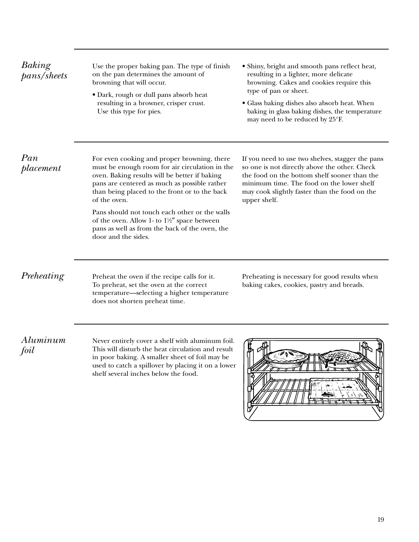| Baking<br>pans/sheets | Use the proper baking pan. The type of finish<br>on the pan determines the amount of<br>browning that will occur.<br>• Dark, rough or dull pans absorb heat<br>resulting in a browner, crisper crust.<br>Use this type for pies.                                | · Shiny, bright and smooth pans reflect heat,<br>resulting in a lighter, more delicate<br>browning. Cakes and cookies require this<br>type of pan or sheet.<br>• Glass baking dishes also absorb heat. When<br>baking in glass baking dishes, the temperature<br>may need to be reduced by 25°F. |
|-----------------------|-----------------------------------------------------------------------------------------------------------------------------------------------------------------------------------------------------------------------------------------------------------------|--------------------------------------------------------------------------------------------------------------------------------------------------------------------------------------------------------------------------------------------------------------------------------------------------|
| Pan<br>placement      | For even cooking and proper browning, there<br>must be enough room for air circulation in the<br>oven. Baking results will be better if baking<br>pans are centered as much as possible rather<br>than being placed to the front or to the back<br>of the oven. | If you need to use two shelves, stagger the pans<br>so one is not directly above the other. Check<br>the food on the bottom shelf sooner than the<br>minimum time. The food on the lower shelf<br>may cook slightly faster than the food on the<br>upper shelf.                                  |
|                       | Pans should not touch each other or the walls<br>of the oven. Allow 1- to 1½" space between<br>pans as well as from the back of the oven, the<br>door and the sides.                                                                                            |                                                                                                                                                                                                                                                                                                  |
| Preheating            | Preheat the oven if the recipe calls for it.<br>To preheat, set the oven at the correct<br>temperature-selecting a higher temperature<br>does not shorten preheat time.                                                                                         | Preheating is necessary for good results when<br>baking cakes, cookies, pastry and breads.                                                                                                                                                                                                       |
| Aluminum<br>foil      | Never entirely cover a shelf with aluminum foil.<br>This will disturb the heat circulation and result<br>in poor baking. A smaller sheet of foil may be<br>used to catch a spillover by placing it on a lower<br>shelf several inches below the food.           |                                                                                                                                                                                                                                                                                                  |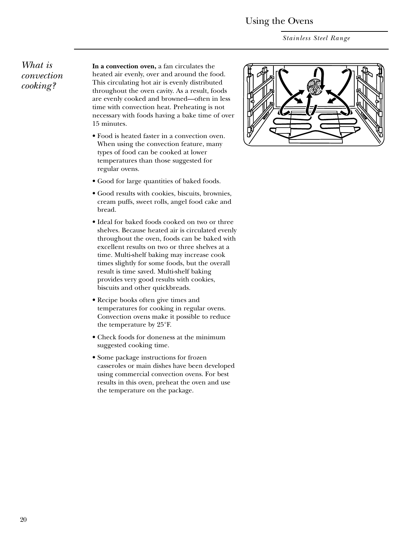*Stainless Steel Range*

### <span id="page-19-0"></span>*What is convection cooking?*

**In a convection oven,** a fan circulates the heated air evenly, over and around the food. This circulating hot air is evenly distributed throughout the oven cavity. As a result, foods are evenly cooked and browned—often in less time with convection heat. Preheating is not necessary with foods having a bake time of over 15 minutes.

- Food is heated faster in a convection oven. When using the convection feature, many types of food can be cooked at lower temperatures than those suggested for regular ovens.
- Good for large quantities of baked foods.
- Good results with cookies, biscuits, brownies, cream puffs, sweet rolls, angel food cake and bread.
- Ideal for baked foods cooked on two or three shelves. Because heated air is circulated evenly throughout the oven, foods can be baked with excellent results on two or three shelves at a time. Multi-shelf baking may increase cook times slightly for some foods, but the overall result is time saved. Multi-shelf baking provides very good results with cookies, biscuits and other quickbreads.
- Recipe books often give times and temperatures for cooking in regular ovens. Convection ovens make it possible to reduce the temperature by 25°F.
- Check foods for doneness at the minimum suggested cooking time.
- Some package instructions for frozen casseroles or main dishes have been developed using commercial convection ovens. For best results in this oven, preheat the oven and use the temperature on the package.

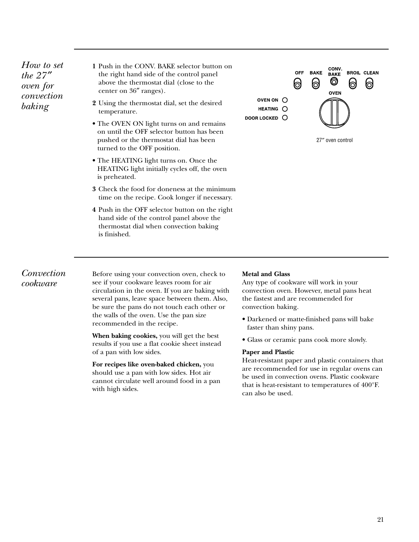*How to set the 27* ″ *oven for convection baking*

**1** Push in the CONV. BAKE selector button on the right hand side of the control panel above the thermostat dial (close to the center on 36″ ranges).

- **2** Using the thermostat dial, set the desired temperature.
- The OVEN ON light turns on and remains on until the OFF selector button has been pushed or the thermostat dial has been turned to the OFF position.
- The HEATING light turns on. Once the HEATING light initially cycles off, the oven is preheated.
- **3** Check the food for doneness at the minimum time on the recipe. Cook longer if necessary.
- **4** Push in the OFF selector button on the right hand side of the control panel above the thermostat dial when convection baking is finished.



27″ oven control

### *Convection cookware*

Before using your convection oven, check to see if your cookware leaves room for air circulation in the oven. If you are baking with several pans, leave space between them. Also, be sure the pans do not touch each other or the walls of the oven. Use the pan size recommended in the recipe.

**When baking cookies,** you will get the best results if you use a flat cookie sheet instead of a pan with low sides.

**For recipes like oven-baked chicken,** you should use a pan with low sides. Hot air cannot circulate well around food in a pan with high sides.

### **Metal and Glass**

Any type of cookware will work in your convection oven. However, metal pans heat the fastest and are recommended for convection baking.

- Darkened or matte-finished pans will bake faster than shiny pans.
- Glass or ceramic pans cook more slowly.

### **Paper and Plastic**

Heat-resistant paper and plastic containers that are recommended for use in regular ovens can be used in convection ovens. Plastic cookware that is heat-resistant to temperatures of 400°F. can also be used.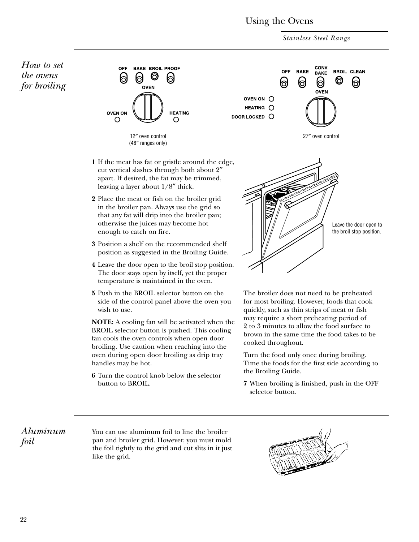*Stainless Steel Range*

<span id="page-21-0"></span>*How to set the ovens for broiling*





- **1** If the meat has fat or gristle around the edge, cut vertical slashes through both about 2″ apart. If desired, the fat may be trimmed, leaving a layer about 1/8″ thick.
- **2** Place the meat or fish on the broiler grid in the broiler pan. Always use the grid so that any fat will drip into the broiler pan; otherwise the juices may become hot enough to catch on fire.
- **3** Position a shelf on the recommended shelf position as suggested in the Broiling Guide.
- **4** Leave the door open to the broil stop position. The door stays open by itself, yet the proper temperature is maintained in the oven.
- **5** Push in the BROIL selector button on the side of the control panel above the oven you wish to use.

**NOTE:** A cooling fan will be activated when the BROIL selector button is pushed. This cooling fan cools the oven controls when open door broiling. Use caution when reaching into the oven during open door broiling as drip tray handles may be hot.

**6** Turn the control knob below the selector button to BROIL.

Leave the door open to the broil stop position.

The broiler does not need to be preheated for most broiling. However, foods that cook quickly, such as thin strips of meat or fish may require a short preheating period of 2 to 3 minutes to allow the food surface to brown in the same time the food takes to be cooked throughout.

Turn the food only once during broiling. Time the foods for the first side according to the Broiling Guide.

**7** When broiling is finished, push in the OFF selector button.

*Aluminum foil*

You can use aluminum foil to line the broiler pan and broiler grid. However, you must mold the foil tightly to the grid and cut slits in it just like the grid.

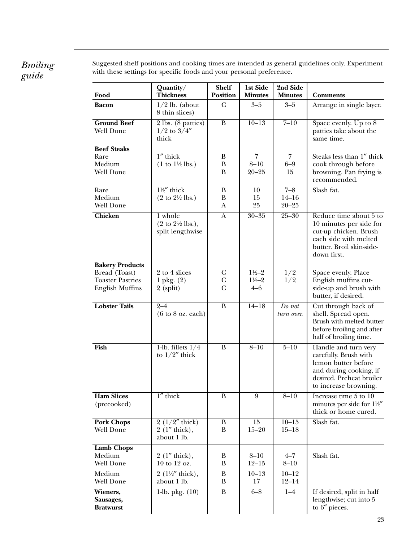### *Broiling guide*

Suggested shelf positions and cooking times are intended as general guidelines only. Experiment with these settings for specific foods and your personal preference.

| Food                                                                                         | Quantity/<br><b>Thickness</b>                                               | <b>Shelf</b><br><b>Position</b>     | 1st Side<br><b>Minutes</b>                          | 2nd Side<br><b>Minutes</b>        | <b>Comments</b>                                                                                                                                     |
|----------------------------------------------------------------------------------------------|-----------------------------------------------------------------------------|-------------------------------------|-----------------------------------------------------|-----------------------------------|-----------------------------------------------------------------------------------------------------------------------------------------------------|
| <b>Bacon</b>                                                                                 | $1/2$ lb. (about<br>8 thin slices)                                          | $\mathbf C$                         | $3 - 5$                                             | $3 - 5$                           | Arrange in single layer.                                                                                                                            |
| <b>Ground Beef</b><br>Well Done                                                              | 2 lbs. (8 patties)<br>$1/2$ to $3/4''$<br>thick                             | B                                   | $10 - 13$                                           | $7 - 10$                          | Space evenly. Up to 8<br>patties take about the<br>same time.                                                                                       |
| <b>Beef Steaks</b><br>Rare<br>Medium<br>Well Done                                            | $1''$ thick<br>$(1 to 1\frac{1}{2}$ lbs.)                                   | B<br>$\, {\bf B}$<br>B              | 7<br>$8 - 10$<br>$20 - 25$                          | 7<br>$6-9$<br>15                  | Steaks less than 1" thick<br>cook through before<br>browning. Pan frying is<br>recommended.                                                         |
| Rare<br>Medium<br>Well Done                                                                  | 1½" thick<br>$(2 \text{ to } 2\frac{1}{2} \text{ lbs.})$                    | B<br>B<br>A                         | 10<br>15<br>25                                      | $7 - 8$<br>$14 - 16$<br>$20 - 25$ | Slash fat.                                                                                                                                          |
| <b>Chicken</b>                                                                               | 1 whole<br>$(2 \text{ to } 2\frac{1}{2} \text{ lbs.}),$<br>split lengthwise | $\mathbf{A}$                        | $30 - 35$                                           | $25 - 30$                         | Reduce time about 5 to<br>10 minutes per side for<br>cut-up chicken. Brush<br>each side with melted<br>butter. Broil skin-side-<br>down first.      |
| <b>Bakery Products</b><br>Bread (Toast)<br><b>Toaster Pastries</b><br><b>English Muffins</b> | 2 to 4 slices<br>$1$ pkg. $(2)$<br>$2$ (split)                              | C<br>$\mathsf{C}$<br>$\overline{C}$ | $1\frac{1}{2} - 2$<br>$1\frac{1}{2} - 2$<br>$4 - 6$ | 1/2<br>1/2                        | Space evenly. Place<br>English muffins cut-<br>side-up and brush with<br>butter, if desired.                                                        |
| <b>Lobster Tails</b>                                                                         | $2 - 4$<br>$(6 \text{ to } 8 \text{ oz. each})$                             | $\bf{B}$                            | $14 - 18$                                           | Do not<br>turn over.              | Cut through back of<br>shell. Spread open.<br>Brush with melted butter<br>before broiling and after<br>half of broiling time.                       |
| Fish                                                                                         | 1-lb. fillets $1/4$<br>to $1/2''$ thick                                     | B                                   | $8 - 10$                                            | $5 - 10$                          | Handle and turn very<br>carefully. Brush with<br>lemon butter before<br>and during cooking, if<br>desired. Preheat broiler<br>to increase browning. |
| <b>Ham Slices</b><br>(precooked)                                                             | $1''$ thick                                                                 | $\bf{B}$                            | 9                                                   | $8 - 10$                          | Increase time 5 to 10<br>minutes per side for $1\frac{1}{2}$<br>thick or home cured.                                                                |
| <b>Pork Chops</b><br>Well Done                                                               | $2(1/2''$ thick)<br>$2(1''$ thick),<br>about 1 lb.                          | B<br>B                              | 15<br>$15 - 20$                                     | $10 - 15$<br>$15 - 18$            | Slash fat.                                                                                                                                          |
| <b>Lamb Chops</b><br>Medium<br>Well Done                                                     | $2(1''$ thick),<br>10 to 12 oz.                                             | B<br>$\bf{B}$                       | $8 - 10$<br>$12 - 15$                               | $4 - 7$<br>$8 - 10$               | Slash fat.                                                                                                                                          |
| Medium<br><b>Well Done</b>                                                                   | 2 ( $1\frac{1}{2}$ " thick),<br>about 1 lb.                                 | $\, {\bf B}$<br>$\bf{B}$            | $10 - 13$<br>17                                     | $10 - 12$<br>$12 - 14$            |                                                                                                                                                     |
| Wieners,<br>Sausages,<br><b>Bratwurst</b>                                                    | 1-lb. pkg. $(10)$                                                           | $\, {\bf B}$                        | $6 - 8$                                             | $1-4$                             | If desired, split in half<br>lengthwise; cut into 5<br>to 6" pieces.                                                                                |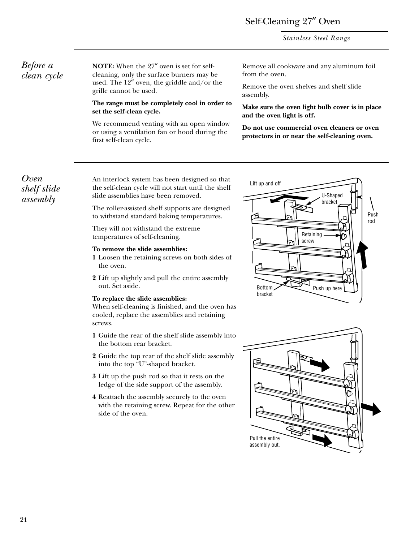### Self-Cleaning 27″ Oven

*Stainless Steel Range*

### <span id="page-23-0"></span>*Before a clean cycle*

**NOTE:** When the 27″ oven is set for selfcleaning, only the surface burners may be used. The 12″ oven, the griddle and/or the grille cannot be used.

### **The range must be completely cool in order to set the self-clean cycle.**

We recommend venting with an open window or using a ventilation fan or hood during the first self-clean cycle.

Remove all cookware and any aluminum foil from the oven.

Remove the oven shelves and shelf slide assembly.

**Make sure the oven light bulb cover is in place and the oven light is off.**

**Do not use commercial oven cleaners or oven protectors in or near the self-cleaning oven.**

### *Oven shelf slide assembly*

An interlock system has been designed so that the self-clean cycle will not start until the shelf slide assemblies have been removed.

The roller-assisted shelf supports are designed to withstand standard baking temperatures.

They will not withstand the extreme temperatures of self-cleaning.

### **To remove the slide assemblies:**

- **1** Loosen the retaining screws on both sides of the oven.
- **2** Lift up slightly and pull the entire assembly out. Set aside.

### **To replace the slide assemblies:**

When self-cleaning is finished, and the oven has cooled, replace the assemblies and retaining screws.

- **1** Guide the rear of the shelf slide assembly into the bottom rear bracket.
- **2** Guide the top rear of the shelf slide assembly into the top "U"-shaped bracket.
- **3** Lift up the push rod so that it rests on the ledge of the side support of the assembly.
- **4** Reattach the assembly securely to the oven with the retaining screw. Repeat for the other side of the oven.



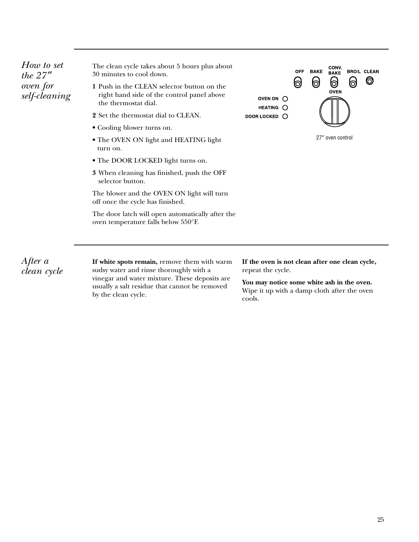*How to set the 27* ″ *oven for self-cleaning* The clean cycle takes about 5 hours plus about 30 minutes to cool down.

- **1** Push in the CLEAN selector button on the right hand side of the control panel above the thermostat dial.
- **2** Set the thermostat dial to CLEAN.
- Cooling blower turns on.
- The OVEN ON light and HEATING light turn on.
- The DOOR LOCKED light turns on.
- **3** When cleaning has finished, push the OFF selector button.

The blower and the OVEN ON light will turn off once the cycle has finished.

The door latch will open automatically after the oven temperature falls below 550°F.

**CONV**<br>BAKE OFF **BAKE BROIL CLEAN** 0 ၜ 0 6 10 **OVEN** OVEN ON O HEATING O DOOR LOCKED O 27″ oven control

*After a clean cycle*

**If white spots remain,** remove them with warm sudsy water and rinse thoroughly with a vinegar and water mixture. These deposits are usually a salt residue that cannot be removed by the clean cycle.

**If the oven is not clean after one clean cycle,** repeat the cycle.

**You may notice some white ash in the oven.** Wipe it up with a damp cloth after the oven cools.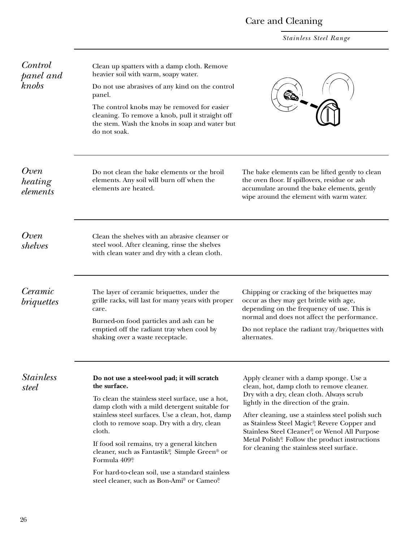## Care and Cleaning

*Stainless Steel Range*

<span id="page-25-0"></span>

| Control<br>panel and<br>knobs | Clean up spatters with a damp cloth. Remove<br>heavier soil with warm, soapy water.<br>Do not use abrasives of any kind on the control<br>panel.<br>The control knobs may be removed for easier<br>cleaning. To remove a knob, pull it straight off<br>the stem. Wash the knobs in soap and water but<br>do not soak.                                                                                                                                                                                        |                                                                                                                                                                                                                                                                                                                                                                                                                                  |
|-------------------------------|--------------------------------------------------------------------------------------------------------------------------------------------------------------------------------------------------------------------------------------------------------------------------------------------------------------------------------------------------------------------------------------------------------------------------------------------------------------------------------------------------------------|----------------------------------------------------------------------------------------------------------------------------------------------------------------------------------------------------------------------------------------------------------------------------------------------------------------------------------------------------------------------------------------------------------------------------------|
| Oven<br>heating<br>elements   | Do not clean the bake elements or the broil<br>elements. Any soil will burn off when the<br>elements are heated.                                                                                                                                                                                                                                                                                                                                                                                             | The bake elements can be lifted gently to clean<br>the oven floor. If spillovers, residue or ash<br>accumulate around the bake elements, gently<br>wipe around the element with warm water.                                                                                                                                                                                                                                      |
| Oven<br>shelves               | Clean the shelves with an abrasive cleanser or<br>steel wool. After cleaning, rinse the shelves<br>with clean water and dry with a clean cloth.                                                                                                                                                                                                                                                                                                                                                              |                                                                                                                                                                                                                                                                                                                                                                                                                                  |
| Ceramic<br><i>briquettes</i>  | The layer of ceramic briquettes, under the<br>grille racks, will last for many years with proper<br>care.<br>Burned-on food particles and ash can be<br>emptied off the radiant tray when cool by<br>shaking over a waste receptacle.                                                                                                                                                                                                                                                                        | Chipping or cracking of the briquettes may<br>occur as they may get brittle with age,<br>depending on the frequency of use. This is<br>normal and does not affect the performance.<br>Do not replace the radiant tray/briquettes with<br>alternates.                                                                                                                                                                             |
| <b>Stainless</b><br>steel     | Do not use a steel-wool pad; it will scratch<br>the surface.<br>To clean the stainless steel surface, use a hot,<br>damp cloth with a mild detergent suitable for<br>stainless steel surfaces. Use a clean, hot, damp<br>cloth to remove soap. Dry with a dry, clean<br>cloth.<br>If food soil remains, try a general kitchen<br>cleaner, such as Fantastik®, Simple Green® or<br>Formula 409 <sup>®</sup><br>For hard-to-clean soil, use a standard stainless<br>steel cleaner, such as Bon-Ami® or Cameo®. | Apply cleaner with a damp sponge. Use a<br>clean, hot, damp cloth to remove cleaner.<br>Dry with a dry, clean cloth. Always scrub<br>lightly in the direction of the grain.<br>After cleaning, use a stainless steel polish such<br>as Stainless Steel Magic®, Revere Copper and<br>Stainless Steel Cleaner®, or Wenol All Purpose<br>Metal Polish® Follow the product instructions<br>for cleaning the stainless steel surface. |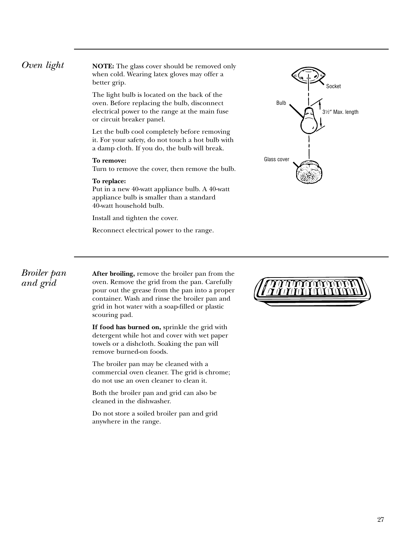<span id="page-26-0"></span>**Oven light NOTE:** The glass cover should be removed only when cold. Wearing latex gloves may offer a better grip.

> The light bulb is located on the back of the oven. Before replacing the bulb, disconnect electrical power to the range at the main fuse or circuit breaker panel.

Let the bulb cool completely before removing it. For your safety, do not touch a hot bulb with a damp cloth. If you do, the bulb will break.

### **To remove:**

Turn to remove the cover, then remove the bulb.

### **To replace:**

Put in a new 40-watt appliance bulb. A 40-watt appliance bulb is smaller than a standard 40-watt household bulb.

Install and tighten the cover.

Reconnect electrical power to the range.



### *Broiler pan and grid*

**After broiling,** remove the broiler pan from the oven. Remove the grid from the pan. Carefully pour out the grease from the pan into a proper container. Wash and rinse the broiler pan and grid in hot water with a soap-filled or plastic scouring pad.

**If food has burned on,** sprinkle the grid with detergent while hot and cover with wet paper towels or a dishcloth. Soaking the pan will remove burned-on foods.

The broiler pan may be cleaned with a commercial oven cleaner. The grid is chrome; do not use an oven cleaner to clean it.

Both the broiler pan and grid can also be cleaned in the dishwasher.

Do not store a soiled broiler pan and grid anywhere in the range.

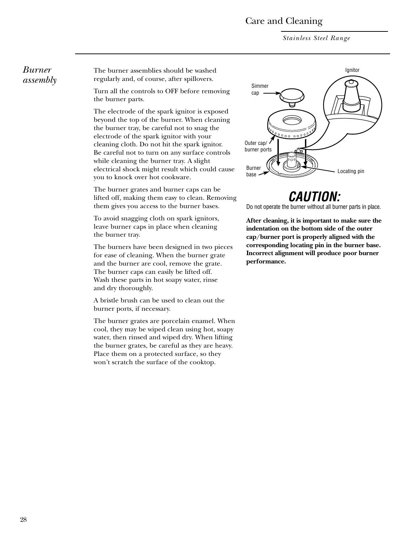### Care and Cleaning

*Stainless Steel Range*

### <span id="page-27-0"></span>*Burner assembly*

The burner assemblies should be washed regularly and, of course, after spillovers.

Turn all the controls to OFF before removing the burner parts.

The electrode of the spark ignitor is exposed beyond the top of the burner. When cleaning the burner tray, be careful not to snag the electrode of the spark ignitor with your cleaning cloth. Do not hit the spark ignitor. Be careful not to turn on any surface controls while cleaning the burner tray. A slight electrical shock might result which could cause you to knock over hot cookware.

The burner grates and burner caps can be lifted off, making them easy to clean. Removing them gives you access to the burner bases.

To avoid snagging cloth on spark ignitors, leave burner caps in place when cleaning the burner tray.

The burners have been designed in two pieces for ease of cleaning. When the burner grate and the burner are cool, remove the grate. The burner caps can easily be lifted off. Wash these parts in hot soapy water, rinse and dry thoroughly.

A bristle brush can be used to clean out the burner ports, if necessary.

The burner grates are porcelain enamel. When cool, they may be wiped clean using hot, soapy water, then rinsed and wiped dry. When lifting the burner grates, be careful as they are heavy. Place them on a protected surface, so they won't scratch the surface of the cooktop.



## *CAUTION:*

Do not operate the burner without all burner parts in place.

**After cleaning, it is important to make sure the indentation on the bottom side of the outer cap/burner port is properly aligned with the corresponding locating pin in the burner base. Incorrect alignment will produce poor burner performance.**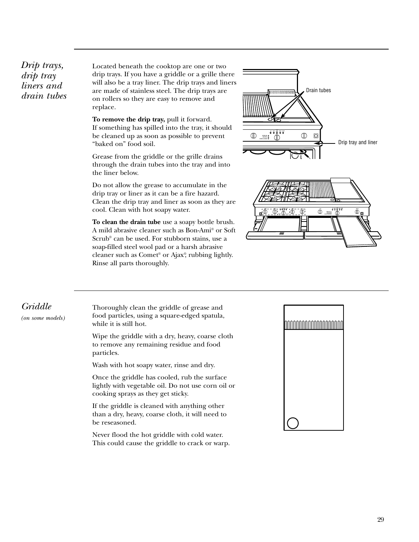<span id="page-28-0"></span>*Drip trays, drip tray liners and drain tubes*  Located beneath the cooktop are one or two drip trays. If you have a griddle or a grille there will also be a tray liner. The drip trays and liners are made of stainless steel. The drip trays are on rollers so they are easy to remove and replace.

**To remove the drip tray,** pull it forward. If something has spilled into the tray, it should be cleaned up as soon as possible to prevent "baked on" food soil.

Grease from the griddle or the grille drains through the drain tubes into the tray and into the liner below.

Do not allow the grease to accumulate in the drip tray or liner as it can be a fire hazard. Clean the drip tray and liner as soon as they are cool. Clean with hot soapy water.

**To clean the drain tube** use a soapy bottle brush. A mild abrasive cleaner such as Bon-Ami® or Soft Scrub® can be used. For stubborn stains, use a soap-filled steel wool pad or a harsh abrasive cleaner such as Comet® or Ajax® , rubbing lightly. Rinse all parts thoroughly.





### *Griddle*

*(on some models)*

Thoroughly clean the griddle of grease and food particles, using a square-edged spatula, while it is still hot.

Wipe the griddle with a dry, heavy, coarse cloth to remove any remaining residue and food particles.

Wash with hot soapy water, rinse and dry.

Once the griddle has cooled, rub the surface lightly with vegetable oil. Do not use corn oil or cooking sprays as they get sticky.

If the griddle is cleaned with anything other than a dry, heavy, coarse cloth, it will need to be reseasoned.

Never flood the hot griddle with cold water. This could cause the griddle to crack or warp.

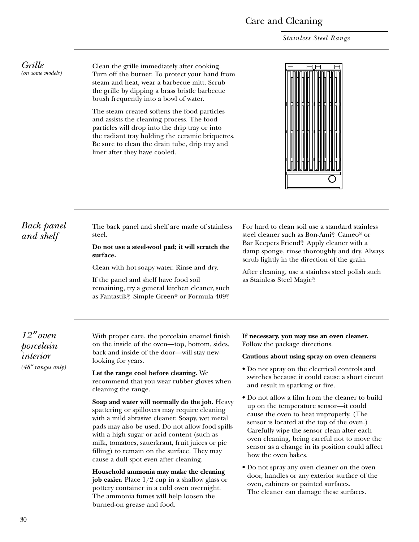### Care and Cleaning

*Stainless Steel Range*

<span id="page-29-0"></span>*Grille (on some models)*

Clean the grille immediately after cooking. Turn off the burner. To protect your hand from steam and heat, wear a barbecue mitt. Scrub the grille by dipping a brass bristle barbecue brush frequently into a bowl of water.

The steam created softens the food particles and assists the cleaning process. The food particles will drop into the drip tray or into the radiant tray holding the ceramic briquettes. Be sure to clean the drain tube, drip tray and liner after they have cooled.

*Back panel and shelf*

The back panel and shelf are made of stainless steel.

**Do not use a steel-wool pad; it will scratch the surface.** Clean with hot soapy water. Rinse and dry.

If the panel and shelf have food soil remaining, try a general kitchen cleaner, such as Fantastik®, Simple Green® or Formula 409®. For hard to clean soil use a standard stainless steel cleaner such as Bon-Ami®, Cameo® or Bar Keepers Friend®. Apply cleaner with a damp sponge, rinse thoroughly and dry. Always scrub lightly in the direction of the grain.

After cleaning, use a stainless steel polish such as Stainless Steel Magic®.

*12* ″*oven porcelain interior (48*″ *ranges only)*

With proper care, the porcelain enamel finish on the inside of the oven—top, bottom, sides, back and inside of the door—will stay newlooking for years.

**Let the range cool before cleaning.** We recommend that you wear rubber gloves when cleaning the range.

**Soap and water will normally do the job.** Heavy spattering or spillovers may require cleaning with a mild abrasive cleaner. Soapy, wet metal pads may also be used. Do not allow food spills with a high sugar or acid content (such as milk, tomatoes, sauerkraut, fruit juices or pie filling) to remain on the surface. They may cause a dull spot even after cleaning.

**Household ammonia may make the cleaning job easier.** Place 1/2 cup in a shallow glass or pottery container in a cold oven overnight. The ammonia fumes will help loosen the burned-on grease and food.

**If necessary, you may use an oven cleaner.** Follow the package directions.

### **Cautions about using spray-on oven cleaners:**

- Do not spray on the electrical controls and switches because it could cause a short circuit and result in sparking or fire.
- Do not allow a film from the cleaner to build up on the temperature sensor—it could cause the oven to heat improperly. (The sensor is located at the top of the oven.) Carefully wipe the sensor clean after each oven cleaning, being careful not to move the sensor as a change in its position could affect how the oven bakes.
- Do not spray any oven cleaner on the oven door, handles or any exterior surface of the oven, cabinets or painted surfaces. The cleaner can damage these surfaces.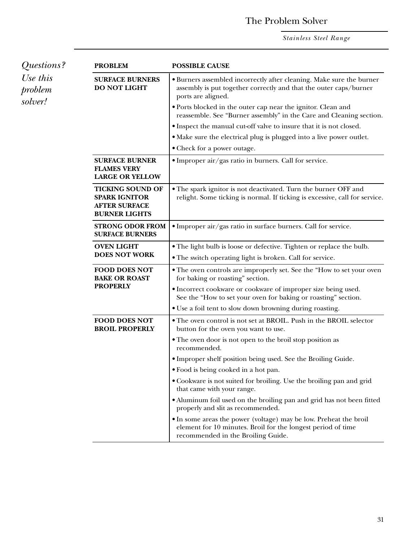### The Problem Solver

*Stainless Steel Range*

<span id="page-30-0"></span>

| Questions?<br>Use this<br>problem<br>solver! | <b>PROBLEM</b>                                                                                  | <b>POSSIBLE CAUSE</b>                                                                                                                                                   |
|----------------------------------------------|-------------------------------------------------------------------------------------------------|-------------------------------------------------------------------------------------------------------------------------------------------------------------------------|
|                                              | <b>SURFACE BURNERS</b><br><b>DO NOT LIGHT</b>                                                   | • Burners assembled incorrectly after cleaning. Make sure the burner<br>assembly is put together correctly and that the outer caps/burner<br>ports are aligned.         |
|                                              |                                                                                                 | • Ports blocked in the outer cap near the ignitor. Clean and<br>reassemble. See "Burner assembly" in the Care and Cleaning section.                                     |
|                                              |                                                                                                 | • Inspect the manual cut-off valve to insure that it is not closed.                                                                                                     |
|                                              |                                                                                                 | • Make sure the electrical plug is plugged into a live power outlet.                                                                                                    |
|                                              |                                                                                                 | • Check for a power outage.                                                                                                                                             |
|                                              | <b>SURFACE BURNER</b><br><b>FLAMES VERY</b><br><b>LARGE OR YELLOW</b>                           | · Improper air/gas ratio in burners. Call for service.                                                                                                                  |
|                                              | <b>TICKING SOUND OF</b><br><b>SPARK IGNITOR</b><br><b>AFTER SURFACE</b><br><b>BURNER LIGHTS</b> | • The spark ignitor is not deactivated. Turn the burner OFF and<br>relight. Some ticking is normal. If ticking is excessive, call for service.                          |
|                                              | <b>STRONG ODOR FROM</b><br><b>SURFACE BURNERS</b>                                               | · Improper air/gas ratio in surface burners. Call for service.                                                                                                          |
|                                              | <b>OVEN LIGHT</b>                                                                               | • The light bulb is loose or defective. Tighten or replace the bulb.                                                                                                    |
|                                              | <b>DOES NOT WORK</b>                                                                            | • The switch operating light is broken. Call for service.                                                                                                               |
|                                              | <b>FOOD DOES NOT</b><br><b>BAKE OR ROAST</b>                                                    | • The oven controls are improperly set. See the "How to set your oven<br>for baking or roasting" section.                                                               |
|                                              | <b>PROPERLY</b>                                                                                 | • Incorrect cookware or cookware of improper size being used.<br>See the "How to set your oven for baking or roasting" section.                                         |
|                                              |                                                                                                 | • Use a foil tent to slow down browning during roasting.                                                                                                                |
|                                              | <b>FOOD DOES NOT</b><br><b>BROIL PROPERLY</b>                                                   | • The oven control is not set at BROIL. Push in the BROIL selector<br>button for the oven you want to use.                                                              |
|                                              |                                                                                                 | • The oven door is not open to the broil stop position as<br>recommended.                                                                                               |
|                                              |                                                                                                 | • Improper shelf position being used. See the Broiling Guide.                                                                                                           |
|                                              |                                                                                                 | • Food is being cooked in a hot pan.                                                                                                                                    |
|                                              |                                                                                                 | • Cookware is not suited for broiling. Use the broiling pan and grid<br>that came with your range.                                                                      |
|                                              |                                                                                                 | • Aluminum foil used on the broiling pan and grid has not been fitted<br>properly and slit as recommended.                                                              |
|                                              |                                                                                                 | • In some areas the power (voltage) may be low. Preheat the broil<br>element for 10 minutes. Broil for the longest period of time<br>recommended in the Broiling Guide. |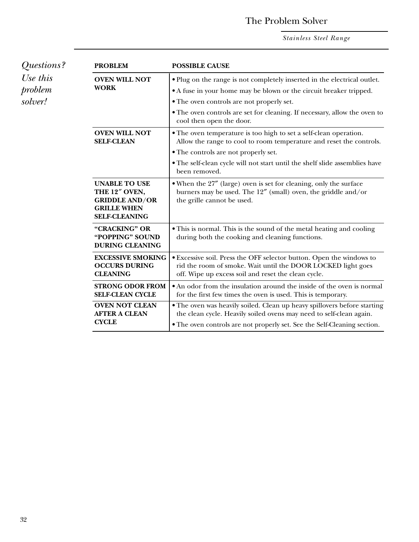### The Problem Solver

*Stainless Steel Range*

| Questions?<br>Use this | <b>PROBLEM</b>                                                                                               | <b>POSSIBLE CAUSE</b>                                                                                                                                                                                                       |
|------------------------|--------------------------------------------------------------------------------------------------------------|-----------------------------------------------------------------------------------------------------------------------------------------------------------------------------------------------------------------------------|
|                        | <b>OVEN WILL NOT</b>                                                                                         | • Plug on the range is not completely inserted in the electrical outlet.                                                                                                                                                    |
| problem                | <b>WORK</b>                                                                                                  | • A fuse in your home may be blown or the circuit breaker tripped.                                                                                                                                                          |
| solver!                |                                                                                                              | • The oven controls are not properly set.                                                                                                                                                                                   |
|                        |                                                                                                              | • The oven controls are set for cleaning. If necessary, allow the oven to<br>cool then open the door.                                                                                                                       |
|                        | <b>OVEN WILL NOT</b><br><b>SELF-CLEAN</b>                                                                    | • The oven temperature is too high to set a self-clean operation.<br>Allow the range to cool to room temperature and reset the controls.                                                                                    |
|                        |                                                                                                              | • The controls are not properly set.                                                                                                                                                                                        |
|                        |                                                                                                              | • The self-clean cycle will not start until the shelf slide assemblies have<br>been removed.                                                                                                                                |
|                        | <b>UNABLE TO USE</b><br>THE 12" OVEN,<br><b>GRIDDLE AND/OR</b><br><b>GRILLE WHEN</b><br><b>SELF-CLEANING</b> | • When the 27" (large) oven is set for cleaning, only the surface<br>burners may be used. The 12" (small) oven, the griddle and/or<br>the grille cannot be used.                                                            |
|                        | "CRACKING" OR<br>"POPPING" SOUND<br><b>DURING CLEANING</b>                                                   | • This is normal. This is the sound of the metal heating and cooling<br>during both the cooking and cleaning functions.                                                                                                     |
|                        | <b>EXCESSIVE SMOKING</b><br><b>OCCURS DURING</b><br><b>CLEANING</b>                                          | • Excessive soil. Press the OFF selector button. Open the windows to<br>rid the room of smoke. Wait until the DOOR LOCKED light goes<br>off. Wipe up excess soil and reset the clean cycle.                                 |
|                        | <b>STRONG ODOR FROM</b><br><b>SELF-CLEAN CYCLE</b>                                                           | • An odor from the insulation around the inside of the oven is normal<br>for the first few times the oven is used. This is temporary.                                                                                       |
|                        | <b>OVEN NOT CLEAN</b><br><b>AFTER A CLEAN</b><br><b>CYCLE</b>                                                | · The oven was heavily soiled. Clean up heavy spillovers before starting<br>the clean cycle. Heavily soiled ovens may need to self-clean again.<br>• The oven controls are not properly set. See the Self-Cleaning section. |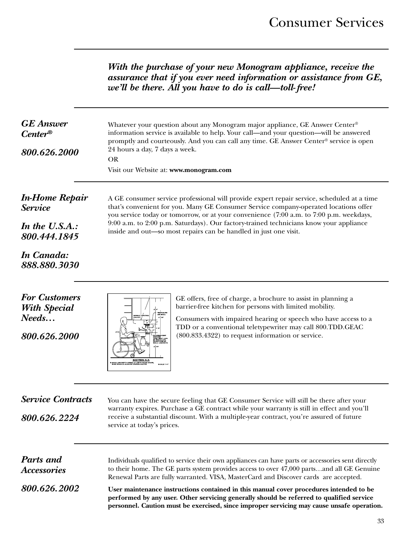*With the purchase of your new Monogram appliance, receive the assurance that if you ever need information or assistance from GE, we'll be there. All you have to do is call—toll- free!*

<span id="page-32-0"></span>

| <b>GE</b> Answer<br>$Center^{\circledR}$<br>800.626.2000                                                | Whatever your question about any Monogram major appliance, GE Answer Center®<br>information service is available to help. Your call—and your question—will be answered<br>promptly and courteously. And you can call any time. GE Answer Center® service is open<br>24 hours a day, 7 days a week.<br><b>OR</b><br>Visit our Website at: www.monogram.com                                                                                                                                                                                                                        |  |  |
|---------------------------------------------------------------------------------------------------------|----------------------------------------------------------------------------------------------------------------------------------------------------------------------------------------------------------------------------------------------------------------------------------------------------------------------------------------------------------------------------------------------------------------------------------------------------------------------------------------------------------------------------------------------------------------------------------|--|--|
| <b>In-Home Repair</b><br><b>Service</b><br>In the U.S.A.:<br>800.444.1845<br>In Canada:<br>888.880.3030 | A GE consumer service professional will provide expert repair service, scheduled at a time<br>that's convenient for you. Many GE Consumer Service company-operated locations offer<br>you service today or tomorrow, or at your convenience (7:00 a.m. to 7:00 p.m. weekdays,<br>9:00 a.m. to 2:00 p.m. Saturdays). Our factory-trained technicians know your appliance<br>inside and out-so most repairs can be handled in just one visit.                                                                                                                                      |  |  |
| <b>For Customers</b><br><b>With Special</b><br>Needs<br>800.626.2000                                    | GE offers, free of charge, a brochure to assist in planning a<br>barrier-free kitchen for persons with limited mobility.<br><b>TBXTOLITE</b><br>ON WALL<br>Consumers with impaired hearing or speech who have access to a<br>TDD or a conventional teletypewriter may call 800.TDD.GEAC<br>(800.833.4322) to request information or service.<br><b>SECTION A A</b>                                                                                                                                                                                                               |  |  |
| <b>Service Contracts</b><br>800.626.2224                                                                | You can have the secure feeling that GE Consumer Service will still be there after your<br>warranty expires. Purchase a GE contract while your warranty is still in effect and you'll<br>receive a substantial discount. With a multiple-year contract, you're assured of future<br>service at today's prices.                                                                                                                                                                                                                                                                   |  |  |
| <b>Parts</b> and<br><i><b>Accessories</b></i><br>800.626.2002                                           | Individuals qualified to service their own appliances can have parts or accessories sent directly<br>to their home. The GE parts system provides access to over 47,000 partsand all GE Genuine<br>Renewal Parts are fully warranted. VISA, MasterCard and Discover cards are accepted.<br>User maintenance instructions contained in this manual cover procedures intended to be<br>performed by any user. Other servicing generally should be referred to qualified service<br>personnel. Caution must be exercised, since improper servicing may cause unsafe operation.<br>33 |  |  |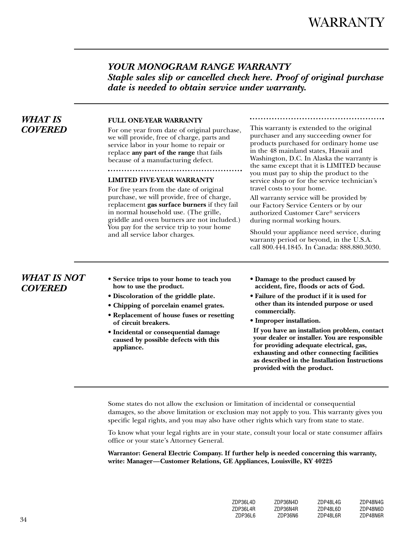### *YOUR MONOGRAM RANGE WARRANTY Staple sales slip or cancelled check here. Proof of original purchase date is needed to obtain service under warranty.*

### <span id="page-33-0"></span>*WHAT IS COVERED*

### **FULL ONE-YEAR WARRANTY**

For one year from date of original purchase, we will provide, free of charge, parts and service labor in your home to repair or replace **any part of the range** that fails because of a manufacturing defect.

### **LIMITED FIVE-YEAR WARRANTY**

For five years from the date of original purchase, we will provide, free of charge, replacement **gas surface burners** if they fail in normal household use. (The grille, griddle and oven burners are not included.) You pay for the service trip to your home and all service labor charges.

This warranty is extended to the original purchaser and any succeeding owner for products purchased for ordinary home use in the 48 mainland states, Hawaii and Washington, D.C. In Alaska the warranty is the same except that it is LIMITED because you must pay to ship the product to the service shop or for the service technician's travel costs to your home.

All warranty service will be provided by our Factory Service Centers or by our authorized Customer Care® servicers during normal working hours.

Should your appliance need service, during warranty period or beyond, in the U.S.A. call 800.444.1845. In Canada: 888.880.3030.

### *WHAT IS NOT COVERED*

- **Service trips to your home to teach you how to use the product.**
- **Discoloration of the griddle plate.**
- **Chipping of porcelain enamel grates.**
- **Replacement of house fuses or resetting of circuit breakers.**
- **Incidental or consequential damage caused by possible defects with this appliance.**
- **Damage to the product caused by accident, fire, floods or acts of God.**
- **Failure of the product if it is used for other than its intended purpose or used commercially.**
- **Improper installation.**

**If you have an installation problem, contact your dealer or installer. You are responsible for providing adequate electrical, gas, exhausting and other connecting facilities as described in the Installation Instructions provided with the product.**

Some states do not allow the exclusion or limitation of incidental or consequential damages, so the above limitation or exclusion may not apply to you. This warranty gives you specific legal rights, and you may also have other rights which vary from state to state.

To know what your legal rights are in your state, consult your local or state consumer affairs office or your state's Attorney General.

**Warrantor: General Electric Company. If further help is needed concerning this warranty, write: Manager—Customer Relations, GE Appliances, Louisville, KY 40225**

| 7DP36L4D | 7DP36N4D | 7DP48L4G | 7DP48N4G |
|----------|----------|----------|----------|
| 7DP36L4R | ZDP36N4R | 7DP48L6D | ZDP48N6D |
| 7DP36L6  | 7DP36N6  | 7DP4816R | ZDP48N6R |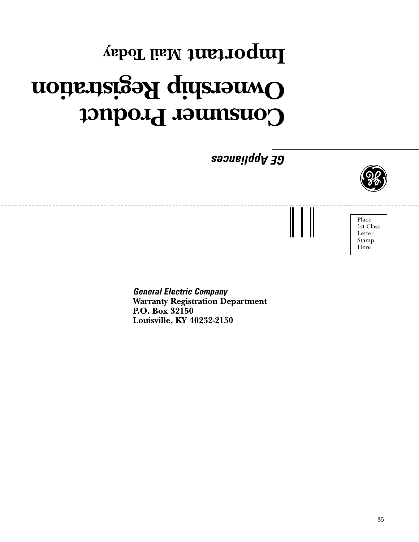# Consumer Product **Ownership Registration Mail Today Important**

*GE Appliances*



Place 1st Class Letter Stamp Here

*General Electric Company* **Warranty Registration Department P.O. Box 32150 Louisville, KY 40232-2150**